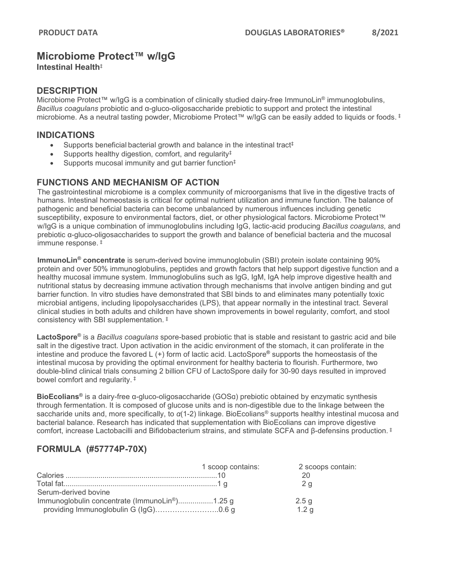## **Microbiome Protect™ w/IgG**

**Intestinal Health**‡

### **DESCRIPTION**

Microbiome Protect™ w/IgG is a combination of clinically studied dairy-free ImmunoLin® immunoglobulins, *Bacillus coagulans* probiotic and α-gluco-oligosaccharide prebiotic to support and protect the intestinal microbiome. As a neutral tasting powder, Microbiome Protect™ w/IgG can be easily added to liquids or foods. ‡

### **INDICATIONS**

- Supports beneficial bacterial growth and balance in the intestinal tract<sup>‡</sup>
- Supports healthy digestion, comfort, and regularity<sup>‡</sup>
- Supports mucosal immunity and gut barrier function<sup>‡</sup>

### **FUNCTIONS AND MECHANISM OF ACTION**

The gastrointestinal microbiome is a complex community of microorganisms that live in the digestive tracts of humans. Intestinal homeostasis is critical for optimal nutrient utilization and immune function. The balance of pathogenic and beneficial bacteria can become unbalanced by numerous influences including genetic susceptibility, exposure to environmental factors, diet, or other physiological factors. Microbiome Protect™ w/IgG is a unique combination of immunoglobulins including IgG, lactic-acid producing *Bacillus coagulans,* and prebiotic α-gluco-oligosaccharides to support the growth and balance of beneficial bacteria and the mucosal immune response. ‡

**ImmunoLin® concentrate** is serum-derived bovine immunoglobulin (SBI) protein isolate containing 90% protein and over 50% immunoglobulins, peptides and growth factors that help support digestive function and a healthy mucosal immune system. Immunoglobulins such as IgG, IgM, IgA help improve digestive health and nutritional status by decreasing immune activation through mechanisms that involve antigen binding and gut barrier function. In vitro studies have demonstrated that SBI binds to and eliminates many potentially toxic microbial antigens, including lipopolysaccharides (LPS), that appear normally in the intestinal tract. Several clinical studies in both adults and children have shown improvements in bowel regularity, comfort, and stool consistency with SBI supplementation. ‡

**LactoSpore®** is a *Bacillus coagulans* spore-based probiotic that is stable and resistant to gastric acid and bile salt in the digestive tract. Upon activation in the acidic environment of the stomach, it can proliferate in the intestine and produce the favored L (+) form of lactic acid. LactoSpore**®** supports the homeostasis of the intestinal mucosa by providing the optimal environment for healthy bacteria to flourish. Furthermore, two double-blind clinical trials consuming 2 billion CFU of LactoSpore daily for 30-90 days resulted in improved bowel comfort and regularity. ‡

**BioEcolians®** is a dairy-free α-gluco-oligosaccharide (GOSɑ) prebiotic obtained by enzymatic synthesis through fermentation. It is composed of glucose units and is non-digestible due to the linkage between the saccharide units and, more specifically, to *α*(1-2) linkage. BioEcolians® supports healthy intestinal mucosa and bacterial balance. Research has indicated that supplementation with BioEcolians can improve digestive comfort, increase Lactobacilli and Bifidobacterium strains, and stimulate SCFA and β-defensins production. ‡

### **FORMULA (#57774P-70X)**

|                                                            | 1 scoop contains: | 2 scoops contain: |
|------------------------------------------------------------|-------------------|-------------------|
|                                                            |                   |                   |
|                                                            |                   | 2 <sub>a</sub>    |
| Serum-derived bovine                                       |                   |                   |
| Immunoglobulin concentrate (ImmunoLin <sup>®</sup> )1.25 g |                   | 2.5g              |
|                                                            |                   | 1.2 <sub>q</sub>  |